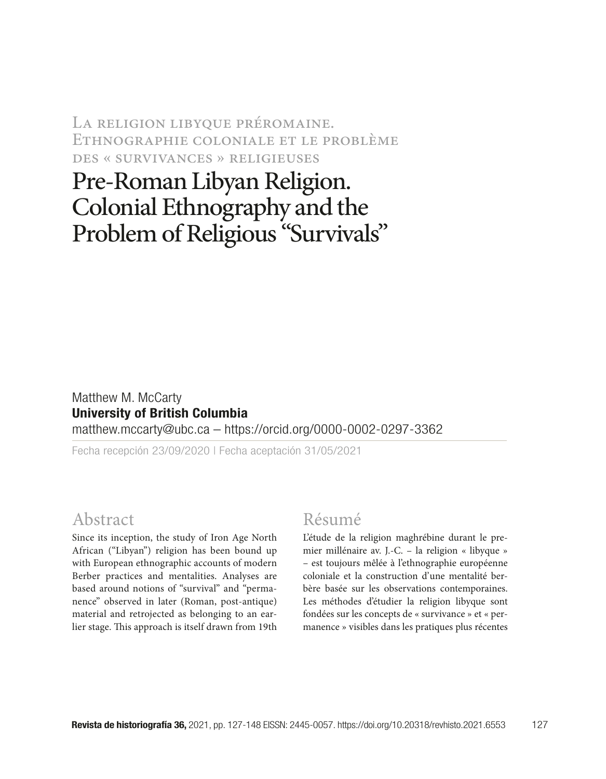La religion libyque préromaine. Ethnographie coloniale et le problème des « survivances » religieuses

# Pre-Roman Libyan Religion. Colonial Ethnography and the Problem of Religious "Survivals"

#### Matthew M. McCarty University of British Columbia matthew.mccarty@ubc.ca – https://orcid.org/0000-0002-0297-3362

Fecha recepción 23/09/2020 | Fecha aceptación 31/05/2021

## Abstract

Since its inception, the study of Iron Age North African ("Libyan") religion has been bound up with European ethnographic accounts of modern Berber practices and mentalities. Analyses are based around notions of "survival" and "permanence" observed in later (Roman, post-antique) material and retrojected as belonging to an earlier stage. This approach is itself drawn from 19th

#### Résumé

L'étude de la religion maghrébine durant le premier millénaire av. J.-C. – la religion « libyque » – est toujours mêlée à l'ethnographie européenne coloniale et la construction d'une mentalité berbère basée sur les observations contemporaines. Les méthodes d'étudier la religion libyque sont fondées sur les concepts de « survivance » et « permanence » visibles dans les pratiques plus récentes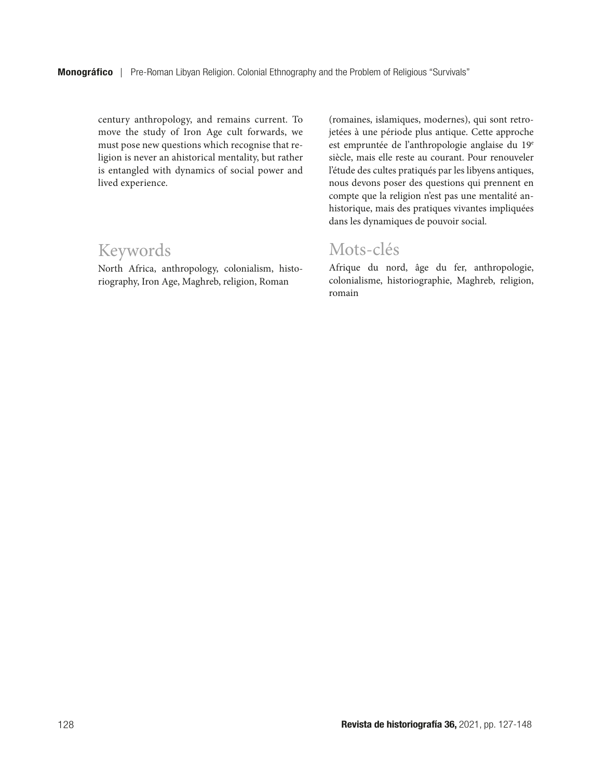century anthropology, and remains current. To move the study of Iron Age cult forwards, we must pose new questions which recognise that religion is never an ahistorical mentality, but rather is entangled with dynamics of social power and lived experience.

## Keywords

North Africa, anthropology, colonialism, historiography, Iron Age, Maghreb, religion, Roman

(romaines, islamiques, modernes), qui sont retrojetées à une période plus antique. Cette approche est empruntée de l'anthropologie anglaise du 19<sup>e</sup> siècle, mais elle reste au courant. Pour renouveler l'étude des cultes pratiqués par les libyens antiques, nous devons poser des questions qui prennent en compte que la religion n'est pas une mentalité anhistorique, mais des pratiques vivantes impliquées dans les dynamiques de pouvoir social.

## Mots-clés

Afrique du nord, âge du fer, anthropologie, colonialisme, historiographie, Maghreb, religion, romain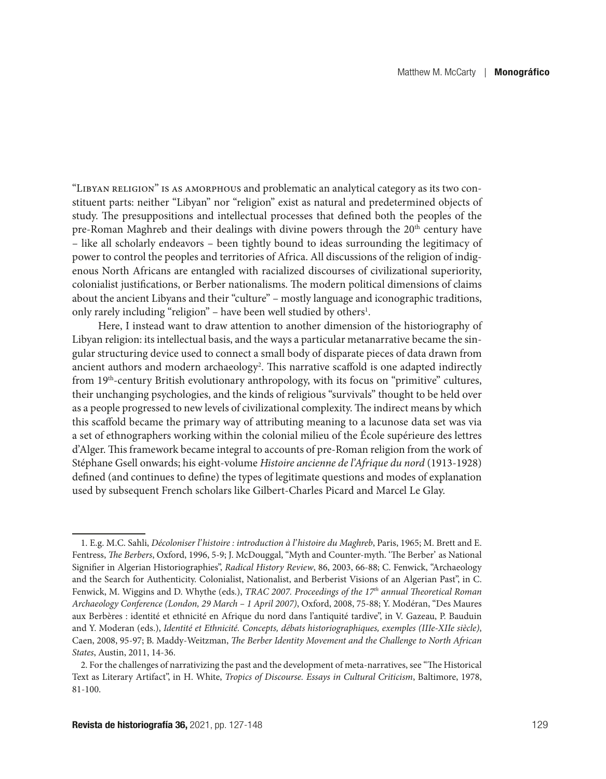"Libyan religion" is as amorphous and problematic an analytical category as its two constituent parts: neither "Libyan" nor "religion" exist as natural and predetermined objects of study. The presuppositions and intellectual processes that defined both the peoples of the pre-Roman Maghreb and their dealings with divine powers through the 20th century have – like all scholarly endeavors – been tightly bound to ideas surrounding the legitimacy of power to control the peoples and territories of Africa. All discussions of the religion of indigenous North Africans are entangled with racialized discourses of civilizational superiority, colonialist justifications, or Berber nationalisms. The modern political dimensions of claims about the ancient Libyans and their "culture" – mostly language and iconographic traditions, only rarely including "religion" - have been well studied by others<sup>1</sup>.

Here, I instead want to draw attention to another dimension of the historiography of Libyan religion: its intellectual basis, and the ways a particular metanarrative became the singular structuring device used to connect a small body of disparate pieces of data drawn from ancient authors and modern archaeology<sup>2</sup>. This narrative scaffold is one adapted indirectly from 19<sup>th</sup>-century British evolutionary anthropology, with its focus on "primitive" cultures, their unchanging psychologies, and the kinds of religious "survivals" thought to be held over as a people progressed to new levels of civilizational complexity. The indirect means by which this scaffold became the primary way of attributing meaning to a lacunose data set was via a set of ethnographers working within the colonial milieu of the École supérieure des lettres d'Alger. This framework became integral to accounts of pre-Roman religion from the work of Stéphane Gsell onwards; his eight-volume *Histoire ancienne de l'Afrique du nord* (1913-1928) defined (and continues to define) the types of legitimate questions and modes of explanation used by subsequent French scholars like Gilbert-Charles Picard and Marcel Le Glay.

<sup>1.</sup> E.g. M.C. Sahli, *Décoloniser l'histoire : introduction à l'histoire du Maghreb*, Paris, 1965; M. Brett and E. Fentress, *The Berbers*, Oxford, 1996, 5-9; J. McDouggal, "Myth and Counter-myth. 'The Berber' as National Signifier in Algerian Historiographies", *Radical History Review*, 86, 2003, 66-88; C. Fenwick, "Archaeology and the Search for Authenticity. Colonialist, Nationalist, and Berberist Visions of an Algerian Past", in C. Fenwick, M. Wiggins and D. Whythe (eds.), *TRAC 2007. Proceedings of the 17th annual Theoretical Roman Archaeology Conference (London, 29 March – 1 April 2007)*, Oxford, 2008, 75-88; Y. Modéran, "Des Maures aux Berbères : identité et ethnicité en Afrique du nord dans l'antiquité tardive", in V. Gazeau, P. Bauduin and Y. Moderan (eds.), *Identité et Ethnicité. Concepts, débats historiographiques, exemples (IIIe-XIIe siècle)*, Caen, 2008, 95-97; B. Maddy-Weitzman, *The Berber Identity Movement and the Challenge to North African States*, Austin, 2011, 14-36.

<sup>2.</sup> For the challenges of narrativizing the past and the development of meta-narratives, see "The Historical Text as Literary Artifact", in H. White, *Tropics of Discourse. Essays in Cultural Criticism*, Baltimore, 1978, 81-100.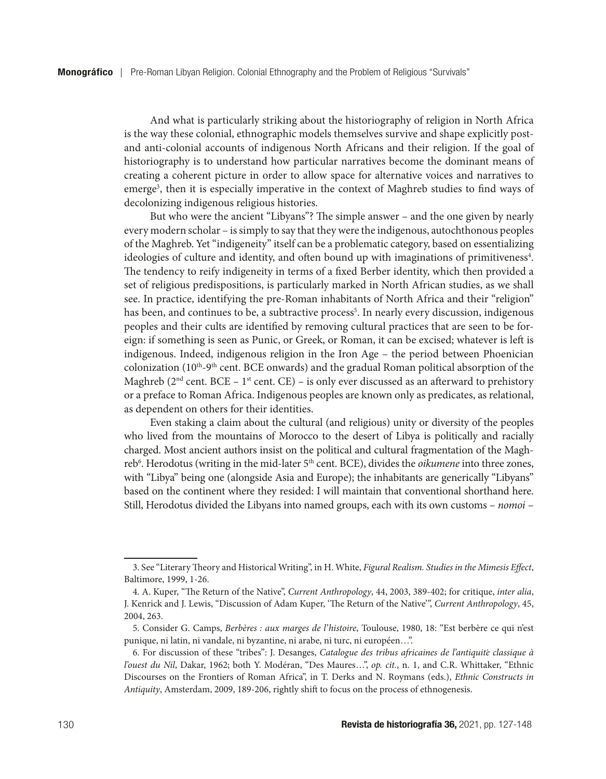And what is particularly striking about the historiography of religion in North Africa is the way these colonial, ethnographic models themselves survive and shape explicitly postand anti-colonial accounts of indigenous North Africans and their religion. If the goal of historiography is to understand how particular narratives become the dominant means of creating a coherent picture in order to allow space for alternative voices and narratives to emerge<sup>3</sup>, then it is especially imperative in the context of Maghreb studies to find ways of decolonizing indigenous religious histories.

But who were the ancient "Libyans"? The simple answer – and the one given by nearly every modern scholar – is simply to say that they were the indigenous, autochthonous peoples of the Maghreb. Yet "indigeneity" itself can be a problematic category, based on essentializing ideologies of culture and identity, and often bound up with imaginations of primitiveness<sup>4</sup>. The tendency to reify indigeneity in terms of a fixed Berber identity, which then provided a set of religious predispositions, is particularly marked in North African studies, as we shall see. In practice, identifying the pre-Roman inhabitants of North Africa and their "religion" has been, and continues to be, a subtractive process<sup>5</sup>. In nearly every discussion, indigenous peoples and their cults are identified by removing cultural practices that are seen to be foreign: if something is seen as Punic, or Greek, or Roman, it can be excised; whatever is left is indigenous. Indeed, indigenous religion in the Iron Age – the period between Phoenician colonization ( $10<sup>th</sup>$ -9<sup>th</sup> cent. BCE onwards) and the gradual Roman political absorption of the Maghreb ( $2<sup>nd</sup>$  cent. BCE – 1<sup>st</sup> cent. CE) – is only ever discussed as an afterward to prehistory or a preface to Roman Africa. Indigenous peoples are known only as predicates, as relational, as dependent on others for their identities.

Even staking a claim about the cultural (and religious) unity or diversity of the peoples who lived from the mountains of Morocco to the desert of Libya is politically and racially charged. Most ancient authors insist on the political and cultural fragmentation of the Maghreb<sup>6</sup>. Herodotus (writing in the mid-later 5<sup>th</sup> cent. BCE), divides the *oikumene* into three zones, with "Libya" being one (alongside Asia and Europe); the inhabitants are generically "Libyans" based on the continent where they resided: I will maintain that conventional shorthand here. Still, Herodotus divided the Libyans into named groups, each with its own customs – *nomoi* –

<sup>3.</sup> See "Literary Theory and Historical Writing", in H. White, *Figural Realism. Studies in the Mimesis Effect*, Baltimore, 1999, 1-26.

<sup>4.</sup> A. Kuper, "The Return of the Native", *Current Anthropology*, 44, 2003, 389-402; for critique, *inter alia*, J. Kenrick and J. Lewis, "Discussion of Adam Kuper, 'The Return of the Native'", *Current Anthropology*, 45, 2004, 263.

<sup>5.</sup> Consider G. Camps, *Berbères : aux marges de l'histoire*, Toulouse, 1980, 18: "Est berbère ce qui n'est punique, ni latin, ni vandale, ni byzantine, ni arabe, ni turc, ni européen…".

<sup>6.</sup> For discussion of these "tribes": J. Desanges, *Catalogue des tribus africaines de l'antiquite*́ *classique à l'ouest du Nil*, Dakar, 1962; both Y. Modéran, "Des Maures…", *op. cit.*, n. 1, and C.R. Whittaker, "Ethnic Discourses on the Frontiers of Roman Africa", in T. Derks and N. Roymans (eds.), *Ethnic Constructs in Antiquity*, Amsterdam, 2009, 189-206, rightly shift to focus on the process of ethnogenesis.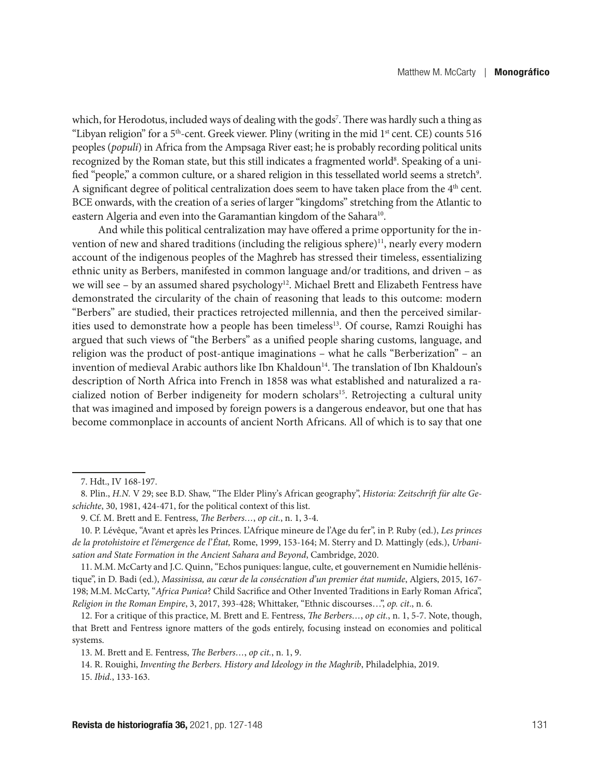which, for Herodotus, included ways of dealing with the gods<sup>7</sup>. There was hardly such a thing as "Libyan religion" for a  $5<sup>th</sup>$ -cent. Greek viewer. Pliny (writing in the mid  $1<sup>st</sup>$  cent. CE) counts 516 peoples (*populi*) in Africa from the Ampsaga River east; he is probably recording political units recognized by the Roman state, but this still indicates a fragmented world<sup>8</sup>. Speaking of a unified "people," a common culture, or a shared religion in this tessellated world seems a stretch<sup>9</sup>. A significant degree of political centralization does seem to have taken place from the 4<sup>th</sup> cent. BCE onwards, with the creation of a series of larger "kingdoms" stretching from the Atlantic to eastern Algeria and even into the Garamantian kingdom of the Sahara<sup>10</sup>.

And while this political centralization may have offered a prime opportunity for the invention of new and shared traditions (including the religious sphere)<sup>11</sup>, nearly every modern account of the indigenous peoples of the Maghreb has stressed their timeless, essentializing ethnic unity as Berbers, manifested in common language and/or traditions, and driven – as we will see – by an assumed shared psychology<sup>12</sup>. Michael Brett and Elizabeth Fentress have demonstrated the circularity of the chain of reasoning that leads to this outcome: modern "Berbers" are studied, their practices retrojected millennia, and then the perceived similarities used to demonstrate how a people has been timeless<sup>13</sup>. Of course, Ramzi Rouighi has argued that such views of "the Berbers" as a unified people sharing customs, language, and religion was the product of post-antique imaginations – what he calls "Berberization" – an invention of medieval Arabic authors like Ibn Khaldoun<sup>14</sup>. The translation of Ibn Khaldoun's description of North Africa into French in 1858 was what established and naturalized a racialized notion of Berber indigeneity for modern scholars<sup>15</sup>. Retrojecting a cultural unity that was imagined and imposed by foreign powers is a dangerous endeavor, but one that has become commonplace in accounts of ancient North Africans. All of which is to say that one

<sup>7.</sup> Hdt., IV 168-197.

<sup>8.</sup> Plin., *H.N.* V 29; see B.D. Shaw, "The Elder Pliny's African geography", *Historia: Zeitschrift für alte Geschichte*, 30, 1981, 424-471, for the political context of this list.

<sup>9.</sup> Cf. M. Brett and E. Fentress, *The Berbers…*, *op cit.*, n. 1, 3-4.

<sup>10.</sup> P. Lévêque, "Avant et après les Princes. L'Afrique mineure de l'Age du fer", in P. Ruby (ed.), *Les princes de la protohistoire et l'émergence de l'État,* Rome, 1999, 153-164; M. Sterry and D. Mattingly (eds.), *Urbanisation and State Formation in the Ancient Sahara and Beyond*, Cambridge, 2020.

<sup>11.</sup> M.M. McCarty and J.C. Quinn, "Echos puniques: langue, culte, et gouvernement en Numidie hellénistique", in D. Badi (ed.), *Massinissa, au cœur de la consécration d'un premier état numide*, Algiers, 2015, 167- 198; M.M. McCarty, "*Africa Punica*? Child Sacrifice and Other Invented Traditions in Early Roman Africa", *Religion in the Roman Empire*, 3, 2017, 393-428; Whittaker, "Ethnic discourses…", *op. cit*., n. 6.

<sup>12.</sup> For a critique of this practice, M. Brett and E. Fentress, *The Berbers…*, *op cit.*, n. 1, 5-7. Note, though, that Brett and Fentress ignore matters of the gods entirely, focusing instead on economies and political systems.

<sup>13.</sup> M. Brett and E. Fentress, *The Berbers…*, *op cit.*, n. 1, 9.

<sup>14.</sup> R. Rouighi, *Inventing the Berbers. History and Ideology in the Maghrib*, Philadelphia, 2019.

<sup>15.</sup> *Ibid.*, 133-163.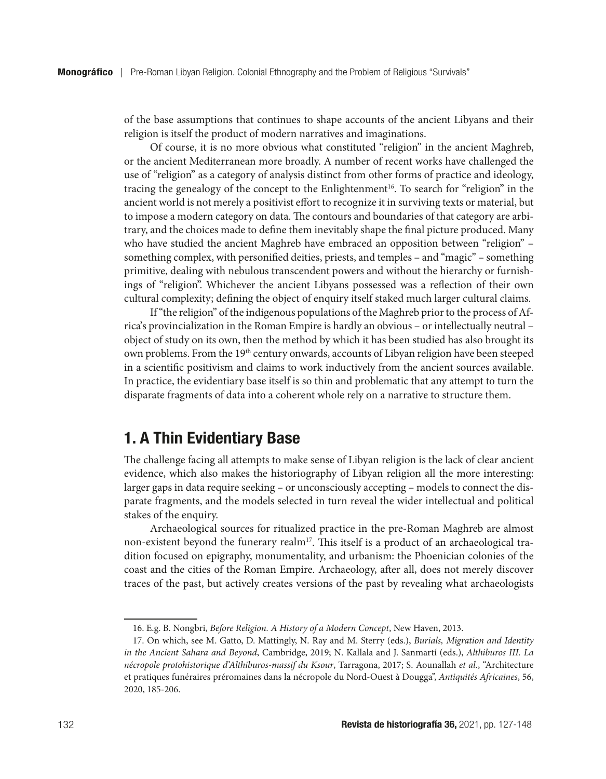of the base assumptions that continues to shape accounts of the ancient Libyans and their religion is itself the product of modern narratives and imaginations.

Of course, it is no more obvious what constituted "religion" in the ancient Maghreb, or the ancient Mediterranean more broadly. A number of recent works have challenged the use of "religion" as a category of analysis distinct from other forms of practice and ideology, tracing the genealogy of the concept to the Enlightenment<sup>16</sup>. To search for "religion" in the ancient world is not merely a positivist effort to recognize it in surviving texts or material, but to impose a modern category on data. The contours and boundaries of that category are arbitrary, and the choices made to define them inevitably shape the final picture produced. Many who have studied the ancient Maghreb have embraced an opposition between "religion" – something complex, with personified deities, priests, and temples – and "magic" – something primitive, dealing with nebulous transcendent powers and without the hierarchy or furnishings of "religion". Whichever the ancient Libyans possessed was a reflection of their own cultural complexity; defining the object of enquiry itself staked much larger cultural claims.

If "the religion" of the indigenous populations of the Maghreb prior to the process of Africa's provincialization in the Roman Empire is hardly an obvious – or intellectually neutral – object of study on its own, then the method by which it has been studied has also brought its own problems. From the 19th century onwards, accounts of Libyan religion have been steeped in a scientific positivism and claims to work inductively from the ancient sources available. In practice, the evidentiary base itself is so thin and problematic that any attempt to turn the disparate fragments of data into a coherent whole rely on a narrative to structure them.

#### 1. A Thin Evidentiary Base

The challenge facing all attempts to make sense of Libyan religion is the lack of clear ancient evidence, which also makes the historiography of Libyan religion all the more interesting: larger gaps in data require seeking – or unconsciously accepting – models to connect the disparate fragments, and the models selected in turn reveal the wider intellectual and political stakes of the enquiry.

Archaeological sources for ritualized practice in the pre-Roman Maghreb are almost non-existent beyond the funerary realm<sup>17</sup>. This itself is a product of an archaeological tradition focused on epigraphy, monumentality, and urbanism: the Phoenician colonies of the coast and the cities of the Roman Empire. Archaeology, after all, does not merely discover traces of the past, but actively creates versions of the past by revealing what archaeologists

<sup>16.</sup> E.g. B. Nongbri, *Before Religion. A History of a Modern Concept*, New Haven, 2013.

<sup>17.</sup> On which, see M. Gatto, D. Mattingly, N. Ray and M. Sterry (eds.), *Burials, Migration and Identity in the Ancient Sahara and Beyond*, Cambridge, 2019; N. Kallala and J. Sanmartí (eds.), *Althiburos III. La nécropole protohistorique d'Althiburos-massif du Ksour*, Tarragona, 2017; S. Aounallah *et al.*, "Architecture et pratiques funéraires préromaines dans la nécropole du Nord-Ouest à Dougga", *Antiquités Africaines*, 56, 2020, 185-206.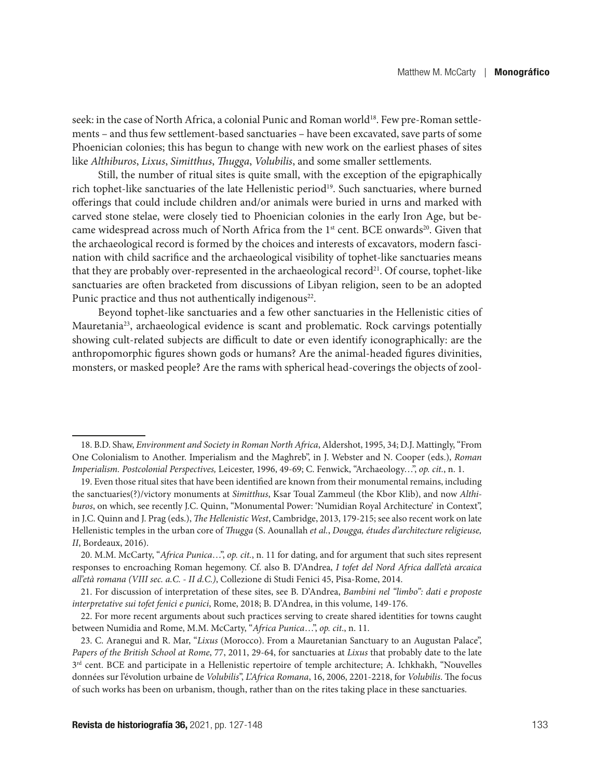seek: in the case of North Africa, a colonial Punic and Roman world<sup>18</sup>. Few pre-Roman settlements – and thus few settlement-based sanctuaries – have been excavated, save parts of some Phoenician colonies; this has begun to change with new work on the earliest phases of sites like *Althiburos*, *Lixus*, *Simitthus*, *Thugga*, *Volubilis*, and some smaller settlements.

Still, the number of ritual sites is quite small, with the exception of the epigraphically rich tophet-like sanctuaries of the late Hellenistic period<sup>19</sup>. Such sanctuaries, where burned offerings that could include children and/or animals were buried in urns and marked with carved stone stelae, were closely tied to Phoenician colonies in the early Iron Age, but became widespread across much of North Africa from the  $1<sup>st</sup>$  cent. BCE onwards<sup>20</sup>. Given that the archaeological record is formed by the choices and interests of excavators, modern fascination with child sacrifice and the archaeological visibility of tophet-like sanctuaries means that they are probably over-represented in the archaeological record<sup>21</sup>. Of course, tophet-like sanctuaries are often bracketed from discussions of Libyan religion, seen to be an adopted Punic practice and thus not authentically indigenous<sup>22</sup>.

Beyond tophet-like sanctuaries and a few other sanctuaries in the Hellenistic cities of Mauretania<sup>23</sup>, archaeological evidence is scant and problematic. Rock carvings potentially showing cult-related subjects are difficult to date or even identify iconographically: are the anthropomorphic figures shown gods or humans? Are the animal-headed figures divinities, monsters, or masked people? Are the rams with spherical head-coverings the objects of zool-

<sup>18.</sup> B.D. Shaw, *Environment and Society in Roman North Africa*, Aldershot, 1995, 34; D.J. Mattingly, "From One Colonialism to Another. Imperialism and the Maghreb", in J. Webster and N. Cooper (eds.), *Roman Imperialism. Postcolonial Perspectives,* Leicester, 1996, 49-69; C. Fenwick, "Archaeology…", *op. cit.*, n. 1.

<sup>19.</sup> Even those ritual sites that have been identified are known from their monumental remains, including the sanctuaries(?)/victory monuments at *Simitthus*, Ksar Toual Zammeul (the Kbor Klib), and now *Althiburos*, on which, see recently J.C. Quinn, "Monumental Power: 'Numidian Royal Architecture' in Context", in J.C. Quinn and J. Prag (eds.), *The Hellenistic West*, Cambridge, 2013, 179-215; see also recent work on late Hellenistic temples in the urban core of *Thugga* (S. Aounallah *et al.*, *Dougga, études d'architecture religieuse, II*, Bordeaux, 2016).

<sup>20.</sup> M.M. McCarty, "*Africa Punica*…", *op. cit.*, n. 11 for dating, and for argument that such sites represent responses to encroaching Roman hegemony. Cf. also B. D'Andrea, *I tofet del Nord Africa dall'età arcaica all'età romana (VIII sec. a.C. - II d.C.)*, Collezione di Studi Fenici 45, Pisa-Rome, 2014.

<sup>21.</sup> For discussion of interpretation of these sites, see B. D'Andrea, *Bambini nel "limbo": dati e proposte interpretative sui tofet fenici e punici*, Rome, 2018; B. D'Andrea, in this volume, 149-176.

<sup>22.</sup> For more recent arguments about such practices serving to create shared identities for towns caught between Numidia and Rome, M.M. McCarty, "*Africa Punica*…", *op. cit*., n. 11.

<sup>23.</sup> C. Aranegui and R. Mar, "*Lixus* (Morocco). From a Mauretanian Sanctuary to an Augustan Palace", *Papers of the British School at Rome*, 77, 2011, 29-64, for sanctuaries at *Lixus* that probably date to the late  $3<sup>rd</sup>$  cent. BCE and participate in a Hellenistic repertoire of temple architecture; A. Ichkhakh, "Nouvelles données sur l'évolution urbaine de *Volubilis*", *L'Africa Romana*, 16, 2006, 2201-2218, for *Volubilis*. The focus of such works has been on urbanism, though, rather than on the rites taking place in these sanctuaries.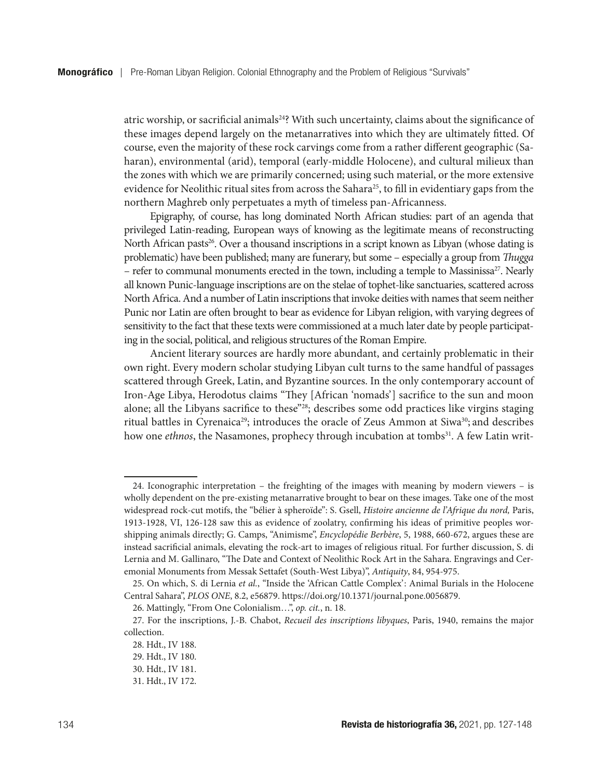atric worship, or sacrificial animals<sup>24</sup>? With such uncertainty, claims about the significance of these images depend largely on the metanarratives into which they are ultimately fitted. Of course, even the majority of these rock carvings come from a rather different geographic (Saharan), environmental (arid), temporal (early-middle Holocene), and cultural milieux than the zones with which we are primarily concerned; using such material, or the more extensive evidence for Neolithic ritual sites from across the Sahara<sup>25</sup>, to fill in evidentiary gaps from the northern Maghreb only perpetuates a myth of timeless pan-Africanness.

Epigraphy, of course, has long dominated North African studies: part of an agenda that privileged Latin-reading, European ways of knowing as the legitimate means of reconstructing North African pasts<sup>26</sup>. Over a thousand inscriptions in a script known as Libyan (whose dating is problematic) have been published; many are funerary, but some – especially a group from *Thugga* – refer to communal monuments erected in the town, including a temple to Massinissa<sup>27</sup>. Nearly all known Punic-language inscriptions are on the stelae of tophet-like sanctuaries, scattered across North Africa. And a number of Latin inscriptions that invoke deities with names that seem neither Punic nor Latin are often brought to bear as evidence for Libyan religion, with varying degrees of sensitivity to the fact that these texts were commissioned at a much later date by people participating in the social, political, and religious structures of the Roman Empire.

Ancient literary sources are hardly more abundant, and certainly problematic in their own right. Every modern scholar studying Libyan cult turns to the same handful of passages scattered through Greek, Latin, and Byzantine sources. In the only contemporary account of Iron-Age Libya, Herodotus claims "They [African 'nomads'] sacrifice to the sun and moon alone; all the Libyans sacrifice to these"28; describes some odd practices like virgins staging ritual battles in Cyrenaica<sup>29</sup>; introduces the oracle of Zeus Ammon at Siwa<sup>30</sup>; and describes how one *ethnos*, the Nasamones, prophecy through incubation at tombs<sup>31</sup>. A few Latin writ-

<sup>24.</sup> Iconographic interpretation – the freighting of the images with meaning by modern viewers – is wholly dependent on the pre-existing metanarrative brought to bear on these images. Take one of the most widespread rock-cut motifs, the "bélier à spheroïde": S. Gsell, *Histoire ancienne de l'Afrique du nord,* Paris, 1913-1928, VI, 126-128 saw this as evidence of zoolatry, confirming his ideas of primitive peoples worshipping animals directly; G. Camps, "Animisme", *Encyclopédie Berbère*, 5, 1988, 660-672, argues these are instead sacrificial animals, elevating the rock-art to images of religious ritual. For further discussion, S. di Lernia and M. Gallinaro, "The Date and Context of Neolithic Rock Art in the Sahara. Engravings and Ceremonial Monuments from Messak Settafet (South-West Libya)", *Antiquity*, 84, 954-975.

<sup>25.</sup> On which, S. di Lernia *et al.*, "Inside the 'African Cattle Complex': Animal Burials in the Holocene Central Sahara", *PLOS ONE*, 8.2, e56879. https://doi.org/10.1371/journal.pone.0056879.

<sup>26.</sup> Mattingly, "From One Colonialism…", *op. cit.*, n. 18.

<sup>27.</sup> For the inscriptions, J.-B. Chabot, *Recueil des inscriptions libyques*, Paris, 1940, remains the major collection.

<sup>28.</sup> Hdt., IV 188.

<sup>29.</sup> Hdt., IV 180.

<sup>30.</sup> Hdt., IV 181.

<sup>31.</sup> Hdt., IV 172.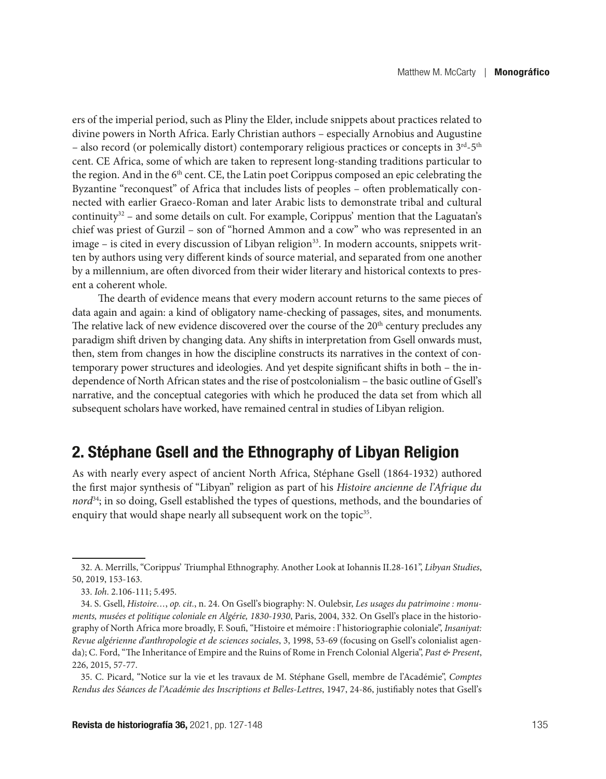ers of the imperial period, such as Pliny the Elder, include snippets about practices related to divine powers in North Africa. Early Christian authors – especially Arnobius and Augustine – also record (or polemically distort) contemporary religious practices or concepts in  $3<sup>rd</sup>$ -5<sup>th</sup> cent. CE Africa, some of which are taken to represent long-standing traditions particular to the region. And in the 6<sup>th</sup> cent. CE, the Latin poet Corippus composed an epic celebrating the Byzantine "reconquest" of Africa that includes lists of peoples – often problematically connected with earlier Graeco-Roman and later Arabic lists to demonstrate tribal and cultural continuity $32$  – and some details on cult. For example, Corippus' mention that the Laguatan's chief was priest of Gurzil – son of "horned Ammon and a cow" who was represented in an image – is cited in every discussion of Libyan religion<sup>33</sup>. In modern accounts, snippets written by authors using very different kinds of source material, and separated from one another by a millennium, are often divorced from their wider literary and historical contexts to present a coherent whole.

The dearth of evidence means that every modern account returns to the same pieces of data again and again: a kind of obligatory name-checking of passages, sites, and monuments. The relative lack of new evidence discovered over the course of the  $20<sup>th</sup>$  century precludes any paradigm shift driven by changing data. Any shifts in interpretation from Gsell onwards must, then, stem from changes in how the discipline constructs its narratives in the context of contemporary power structures and ideologies. And yet despite significant shifts in both – the independence of North African states and the rise of postcolonialism – the basic outline of Gsell's narrative, and the conceptual categories with which he produced the data set from which all subsequent scholars have worked, have remained central in studies of Libyan religion.

### 2. Stéphane Gsell and the Ethnography of Libyan Religion

As with nearly every aspect of ancient North Africa, Stéphane Gsell (1864-1932) authored the first major synthesis of "Libyan" religion as part of his *Histoire ancienne de l'Afrique du nord*34; in so doing, Gsell established the types of questions, methods, and the boundaries of enquiry that would shape nearly all subsequent work on the topic<sup>35</sup>.

<sup>32.</sup> A. Merrills, "Corippus' Triumphal Ethnography. Another Look at Iohannis II.28-161", *Libyan Studies*, 50, 2019, 153-163.

<sup>33.</sup> *Ioh*. 2.106-111; 5.495.

<sup>34.</sup> S. Gsell, *Histoire…*, *op. cit.*, n. 24. On Gsell's biography: N. Oulebsir, *Les usages du patrimoine : monuments, musées et politique coloniale en Algérie, 1830-1930*, Paris, 2004, 332. On Gsell's place in the historiography of North Africa more broadly, F. Soufi, "Histoire et mémoire : l'historiographie coloniale", *Insaniyat: Revue algérienne d'anthropologie et de sciences sociales*, 3, 1998, 53-69 (focusing on Gsell's colonialist agenda); C. Ford, "The Inheritance of Empire and the Ruins of Rome in French Colonial Algeria", *Past & Present*, 226, 2015, 57-77.

<sup>35.</sup> C. Picard, "Notice sur la vie et les travaux de M. Stéphane Gsell, membre de l'Académie", *Comptes Rendus des Séances de l'Académie des Inscriptions et Belles-Lettres*, 1947, 24-86, justifiably notes that Gsell's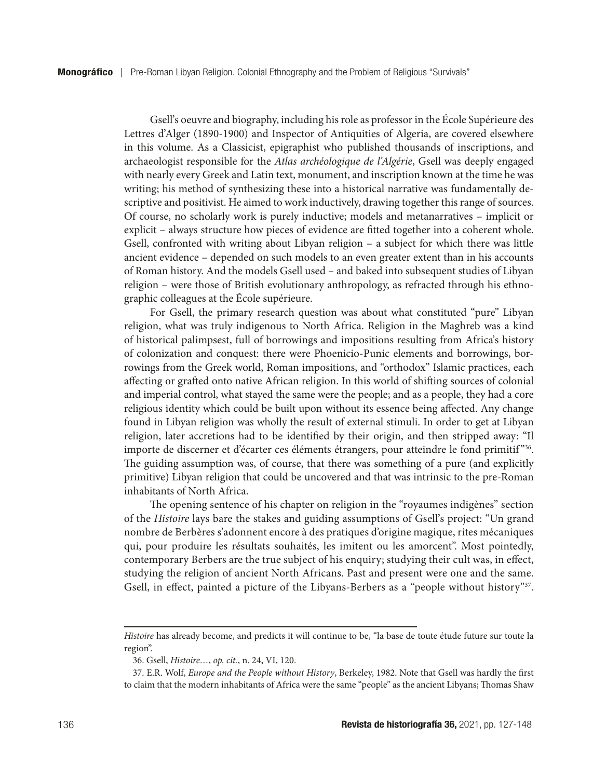Gsell's oeuvre and biography, including his role as professor in the École Supérieure des Lettres d'Alger (1890-1900) and Inspector of Antiquities of Algeria, are covered elsewhere in this volume. As a Classicist, epigraphist who published thousands of inscriptions, and archaeologist responsible for the *Atlas archéologique de l'Algérie*, Gsell was deeply engaged with nearly every Greek and Latin text, monument, and inscription known at the time he was writing; his method of synthesizing these into a historical narrative was fundamentally descriptive and positivist. He aimed to work inductively, drawing together this range of sources. Of course, no scholarly work is purely inductive; models and metanarratives – implicit or explicit – always structure how pieces of evidence are fitted together into a coherent whole. Gsell, confronted with writing about Libyan religion – a subject for which there was little ancient evidence – depended on such models to an even greater extent than in his accounts of Roman history. And the models Gsell used – and baked into subsequent studies of Libyan religion – were those of British evolutionary anthropology, as refracted through his ethnographic colleagues at the École supérieure.

For Gsell, the primary research question was about what constituted "pure" Libyan religion, what was truly indigenous to North Africa. Religion in the Maghreb was a kind of historical palimpsest, full of borrowings and impositions resulting from Africa's history of colonization and conquest: there were Phoenicio-Punic elements and borrowings, borrowings from the Greek world, Roman impositions, and "orthodox" Islamic practices, each affecting or grafted onto native African religion. In this world of shifting sources of colonial and imperial control, what stayed the same were the people; and as a people, they had a core religious identity which could be built upon without its essence being affected. Any change found in Libyan religion was wholly the result of external stimuli. In order to get at Libyan religion, later accretions had to be identified by their origin, and then stripped away: "Il importe de discerner et d'écarter ces éléments étrangers, pour atteindre le fond primitif<sup>"36</sup>. The guiding assumption was, of course, that there was something of a pure (and explicitly primitive) Libyan religion that could be uncovered and that was intrinsic to the pre-Roman inhabitants of North Africa.

The opening sentence of his chapter on religion in the "royaumes indigènes" section of the *Histoire* lays bare the stakes and guiding assumptions of Gsell's project: "Un grand nombre de Berbères s'adonnent encore à des pratiques d'origine magique, rites mécaniques qui, pour produire les résultats souhaités, les imitent ou les amorcent". Most pointedly, contemporary Berbers are the true subject of his enquiry; studying their cult was, in effect, studying the religion of ancient North Africans. Past and present were one and the same. Gsell, in effect, painted a picture of the Libyans-Berbers as a "people without history"<sup>37</sup>.

*Histoire* has already become, and predicts it will continue to be, "la base de toute étude future sur toute la region".

<sup>36.</sup> Gsell, *Histoire…*, *op. cit.*, n. 24, VI, 120.

<sup>37.</sup> E.R. Wolf, *Europe and the People without History*, Berkeley, 1982. Note that Gsell was hardly the first to claim that the modern inhabitants of Africa were the same "people" as the ancient Libyans; Thomas Shaw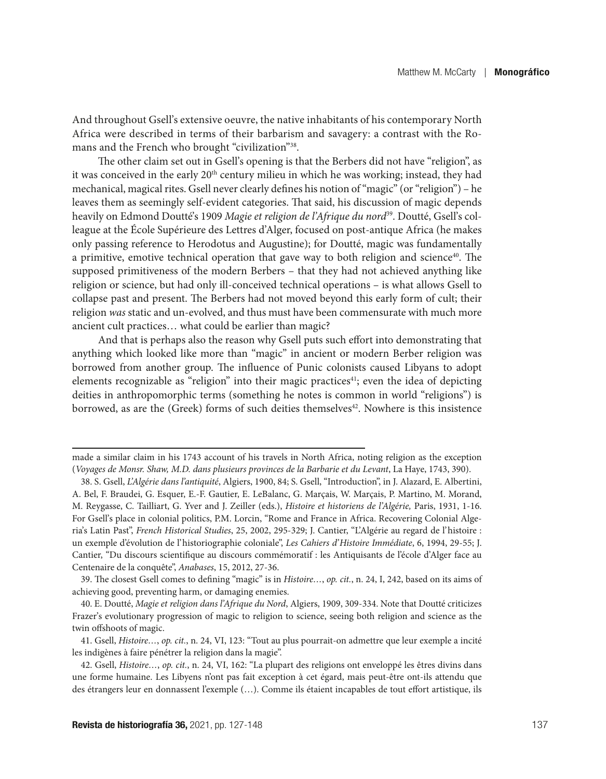And throughout Gsell's extensive oeuvre, the native inhabitants of his contemporary North Africa were described in terms of their barbarism and savagery: a contrast with the Romans and the French who brought "civilization"38.

The other claim set out in Gsell's opening is that the Berbers did not have "religion", as it was conceived in the early 20<sup>th</sup> century milieu in which he was working; instead, they had mechanical, magical rites. Gsell never clearly defines his notion of "magic" (or "religion") – he leaves them as seemingly self-evident categories. That said, his discussion of magic depends heavily on Edmond Doutté's 1909 *Magie et religion de l'Afrique du nord*39. Doutté, Gsell's colleague at the École Supérieure des Lettres d'Alger, focused on post-antique Africa (he makes only passing reference to Herodotus and Augustine); for Doutté, magic was fundamentally a primitive, emotive technical operation that gave way to both religion and science $40$ . The supposed primitiveness of the modern Berbers – that they had not achieved anything like religion or science, but had only ill-conceived technical operations – is what allows Gsell to collapse past and present. The Berbers had not moved beyond this early form of cult; their religion *was* static and un-evolved, and thus must have been commensurate with much more ancient cult practices… what could be earlier than magic?

And that is perhaps also the reason why Gsell puts such effort into demonstrating that anything which looked like more than "magic" in ancient or modern Berber religion was borrowed from another group. The influence of Punic colonists caused Libyans to adopt elements recognizable as "religion" into their magic practices<sup>41</sup>; even the idea of depicting deities in anthropomorphic terms (something he notes is common in world "religions") is borrowed, as are the (Greek) forms of such deities themselves<sup>42</sup>. Nowhere is this insistence

39. The closest Gsell comes to defining "magic" is in *Histoire…*, *op. cit.*, n. 24, I, 242, based on its aims of achieving good, preventing harm, or damaging enemies.

40. E. Doutté, *Magie et religion dans l'Afrique du Nord*, Algiers, 1909, 309-334. Note that Doutté criticizes Frazer's evolutionary progression of magic to religion to science, seeing both religion and science as the twin offshoots of magic.

41. Gsell, *Histoire…*, *op. cit.*, n. 24, VI, 123: "Tout au plus pourrait-on admettre que leur exemple a incité les indigènes à faire pénétrer la religion dans la magie".

42. Gsell, *Histoire…*, *op. cit.*, n. 24, VI, 162: "La plupart des religions ont enveloppé les êtres divins dans une forme humaine. Les Libyens n'ont pas fait exception à cet égard, mais peut-être ont-ils attendu que des étrangers leur en donnassent l'exemple (…). Comme ils étaient incapables de tout effort artistique, ils

made a similar claim in his 1743 account of his travels in North Africa, noting religion as the exception (*Voyages de Monsr. Shaw, M.D. dans plusieurs provinces de la Barbarie et du Levant*, La Haye, 1743, 390).

<sup>38.</sup> S. Gsell, *L'Algérie dans l'antiquité*, Algiers, 1900, 84; S. Gsell, "Introduction", in J. Alazard, E. Albertini, A. Bel, F. Braudei, G. Esquer, E.-F. Gautier, E. LeBalanc, G. Marçais, W. Marçais, P. Martino, M. Morand, M. Reygasse, C. Tailliart, G. Yver and J. Zeiller (eds.), *Histoire et historiens de l'Algérie,* Paris, 1931, 1-16. For Gsell's place in colonial politics, P.M. Lorcin, "Rome and France in Africa. Recovering Colonial Algeria's Latin Past", *French Historical Studies*, 25, 2002, 295-329; J. Cantier, "L'Algérie au regard de l'histoire : un exemple d'évolution de l'historiographie coloniale", *Les Cahiers d'Histoire Immédiate*, 6, 1994, 29-55; J. Cantier, "Du discours scientifique au discours commémoratif : les Antiquisants de l'école d'Alger face au Centenaire de la conquête", *Anabases*, 15, 2012, 27-36.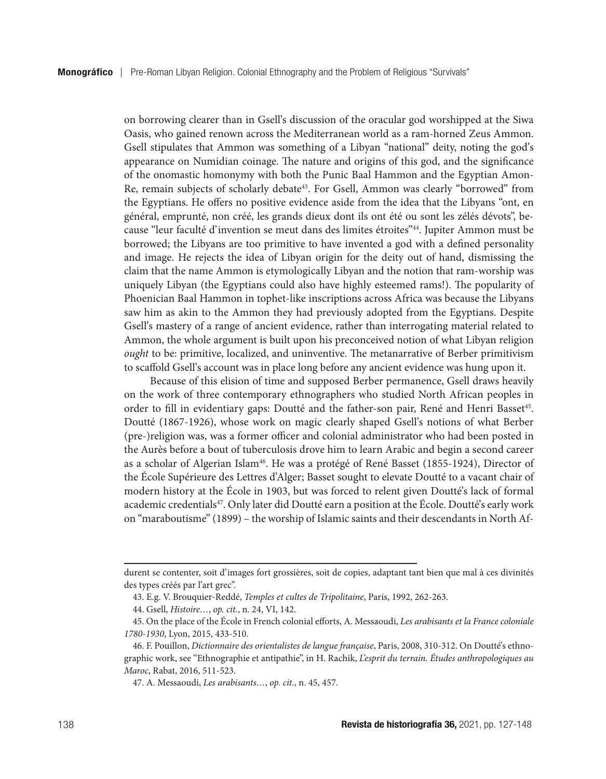on borrowing clearer than in Gsell's discussion of the oracular god worshipped at the Siwa Oasis, who gained renown across the Mediterranean world as a ram-horned Zeus Ammon. Gsell stipulates that Ammon was something of a Libyan "national" deity, noting the god's appearance on Numidian coinage. The nature and origins of this god, and the significance of the onomastic homonymy with both the Punic Baal Hammon and the Egyptian Amon-Re, remain subjects of scholarly debate43. For Gsell, Ammon was clearly "borrowed" from the Egyptians. He offers no positive evidence aside from the idea that the Libyans "ont, en général, emprunté, non créé, les grands dieux dont ils ont été ou sont les zélés dévots", because "leur faculté d'invention se meut dans des limites étroites"44. Jupiter Ammon must be borrowed; the Libyans are too primitive to have invented a god with a defined personality and image. He rejects the idea of Libyan origin for the deity out of hand, dismissing the claim that the name Ammon is etymologically Libyan and the notion that ram-worship was uniquely Libyan (the Egyptians could also have highly esteemed rams!). The popularity of Phoenician Baal Hammon in tophet-like inscriptions across Africa was because the Libyans saw him as akin to the Ammon they had previously adopted from the Egyptians. Despite Gsell's mastery of a range of ancient evidence, rather than interrogating material related to Ammon, the whole argument is built upon his preconceived notion of what Libyan religion *ought* to be: primitive, localized, and uninventive. The metanarrative of Berber primitivism to scaffold Gsell's account was in place long before any ancient evidence was hung upon it.

Because of this elision of time and supposed Berber permanence, Gsell draws heavily on the work of three contemporary ethnographers who studied North African peoples in order to fill in evidentiary gaps: Doutté and the father-son pair, René and Henri Basset<sup>45</sup>. Doutté (1867-1926), whose work on magic clearly shaped Gsell's notions of what Berber (pre-)religion was, was a former officer and colonial administrator who had been posted in the Aurès before a bout of tuberculosis drove him to learn Arabic and begin a second career as a scholar of Algerian Islam<sup>46</sup>. He was a protégé of René Basset (1855-1924), Director of the École Supérieure des Lettres d'Alger; Basset sought to elevate Doutté to a vacant chair of modern history at the École in 1903, but was forced to relent given Doutté's lack of formal academic credentials47. Only later did Doutté earn a position at the École. Doutté's early work on "maraboutisme" (1899) – the worship of Islamic saints and their descendants in North Af-

durent se contenter, soit d'images fort grossières, soit de copies, adaptant tant bien que mal à ces divinités des types créés par l'art grec".

<sup>43.</sup> E.g. V. Brouquier-Reddé, *Temples et cultes de Tripolitaine*, Paris, 1992, 262-263.

<sup>44.</sup> Gsell, *Histoire…*, *op. cit.*, n. 24, VI, 142.

<sup>45.</sup> On the place of the École in French colonial efforts, A. Messaoudi, *Les arabisants et la France coloniale 1780-1930*, Lyon, 2015, 433-510.

<sup>46.</sup> F. Pouillon, *Dictionnaire des orientalistes de langue française*, Paris, 2008, 310-312. On Doutté's ethnographic work, see "Ethnographie et antipathie", in H. Rachik, *L'esprit du terrain. Études anthropologiques au Maroc*, Rabat, 2016, 511-523.

<sup>47.</sup> A. Messaoudi, *Les arabisants…*, *op. cit.*, n. 45, 457.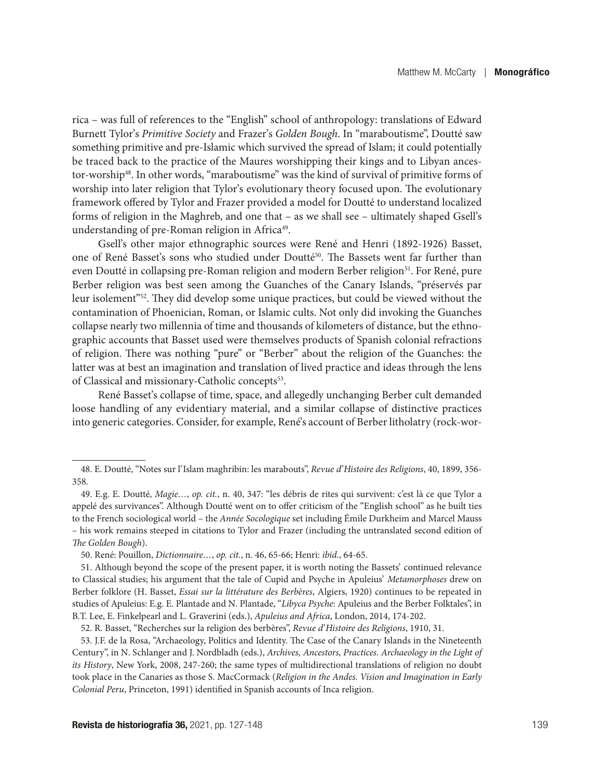rica – was full of references to the "English" school of anthropology: translations of Edward Burnett Tylor's *Primitive Society* and Frazer's *Golden Bough*. In "maraboutisme", Doutté saw something primitive and pre-Islamic which survived the spread of Islam; it could potentially be traced back to the practice of the Maures worshipping their kings and to Libyan ancestor-worship<sup>48</sup>. In other words, "maraboutisme" was the kind of survival of primitive forms of worship into later religion that Tylor's evolutionary theory focused upon. The evolutionary framework offered by Tylor and Frazer provided a model for Doutté to understand localized forms of religion in the Maghreb, and one that – as we shall see – ultimately shaped Gsell's understanding of pre-Roman religion in Africa<sup>49</sup>.

Gsell's other major ethnographic sources were René and Henri (1892-1926) Basset, one of René Basset's sons who studied under Doutté<sup>50</sup>. The Bassets went far further than even Doutté in collapsing pre-Roman religion and modern Berber religion<sup>51</sup>. For René, pure Berber religion was best seen among the Guanches of the Canary Islands, "préservés par leur isolement"52. They did develop some unique practices, but could be viewed without the contamination of Phoenician, Roman, or Islamic cults. Not only did invoking the Guanches collapse nearly two millennia of time and thousands of kilometers of distance, but the ethnographic accounts that Basset used were themselves products of Spanish colonial refractions of religion. There was nothing "pure" or "Berber" about the religion of the Guanches: the latter was at best an imagination and translation of lived practice and ideas through the lens of Classical and missionary-Catholic concepts<sup>53</sup>.

René Basset's collapse of time, space, and allegedly unchanging Berber cult demanded loose handling of any evidentiary material, and a similar collapse of distinctive practices into generic categories. Consider, for example, René's account of Berber litholatry (rock-wor-

52. R. Basset, "Recherches sur la religion des berbères", *Revue d'Histoire des Religions*, 1910, 31.

<sup>48.</sup> E. Doutté, "Notes sur l'Islam maghribin: les marabouts", *Revue d'Histoire des Religions*, 40, 1899, 356- 358.

<sup>49.</sup> E.g. E. Doutté, *Magie…*, *op. cit.*, n. 40, 347: "les débris de rites qui survivent: c'est là ce que Tylor a appelé des survivances". Although Doutté went on to offer criticism of the "English school" as he built ties to the French sociological world – the *Année Socologique* set including Émile Durkheim and Marcel Mauss – his work remains steeped in citations to Tylor and Frazer (including the untranslated second edition of *The Golden Bough*).

<sup>50.</sup> René: Pouillon, *Dictionnaire…*, *op. cit.*, n. 46, 65-66; Henri: *ibid.*, 64-65.

<sup>51.</sup> Although beyond the scope of the present paper, it is worth noting the Bassets' continued relevance to Classical studies; his argument that the tale of Cupid and Psyche in Apuleius' *Metamorphoses* drew on Berber folklore (H. Basset, *Essai sur la littérature des Berbères*, Algiers, 1920) continues to be repeated in studies of Apuleius: E.g. E. Plantade and N. Plantade, "*Libyca Psyche*: Apuleius and the Berber Folktales", in B.T. Lee, E. Finkelpearl and L. Graverini (eds.), *Apuleius and Africa*, London, 2014, 174-202.

<sup>53.</sup> J.F. de la Rosa, "Archaeology, Politics and Identity. The Case of the Canary Islands in the Nineteenth Century", in N. Schlanger and J. Nordbladh (eds.), *Archives, Ancestors, Practices. Archaeology in the Light of its History*, New York, 2008, 247-260; the same types of multidirectional translations of religion no doubt took place in the Canaries as those S. MacCormack (*Religion in the Andes. Vision and Imagination in Early Colonial Peru*, Princeton, 1991) identified in Spanish accounts of Inca religion.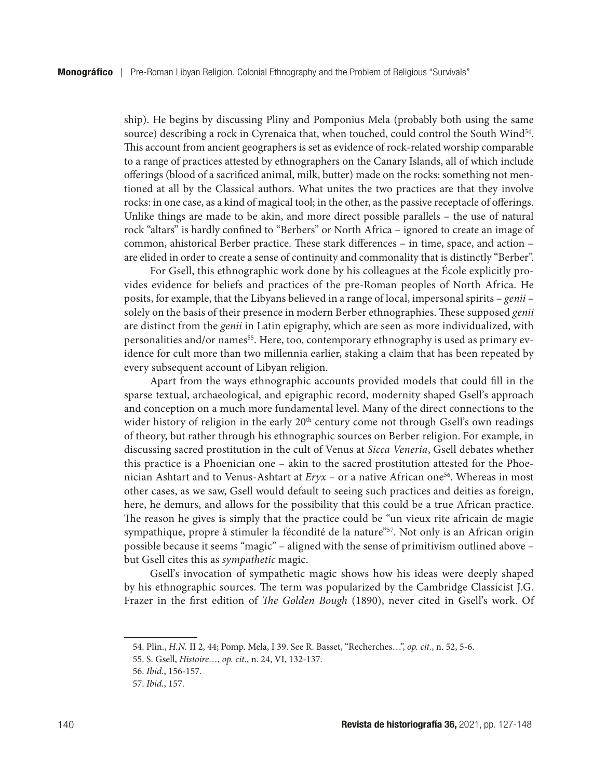ship). He begins by discussing Pliny and Pomponius Mela (probably both using the same source) describing a rock in Cyrenaica that, when touched, could control the South Wind<sup>54</sup>. This account from ancient geographers is set as evidence of rock-related worship comparable to a range of practices attested by ethnographers on the Canary Islands, all of which include offerings (blood of a sacrificed animal, milk, butter) made on the rocks: something not mentioned at all by the Classical authors. What unites the two practices are that they involve rocks: in one case, as a kind of magical tool; in the other, as the passive receptacle of offerings. Unlike things are made to be akin, and more direct possible parallels – the use of natural rock "altars" is hardly confined to "Berbers" or North Africa – ignored to create an image of common, ahistorical Berber practice. These stark differences – in time, space, and action – are elided in order to create a sense of continuity and commonality that is distinctly "Berber".

For Gsell, this ethnographic work done by his colleagues at the École explicitly provides evidence for beliefs and practices of the pre-Roman peoples of North Africa. He posits, for example, that the Libyans believed in a range of local, impersonal spirits – *genii* – solely on the basis of their presence in modern Berber ethnographies. These supposed *genii* are distinct from the *genii* in Latin epigraphy, which are seen as more individualized, with personalities and/or names55. Here, too, contemporary ethnography is used as primary evidence for cult more than two millennia earlier, staking a claim that has been repeated by every subsequent account of Libyan religion.

Apart from the ways ethnographic accounts provided models that could fill in the sparse textual, archaeological, and epigraphic record, modernity shaped Gsell's approach and conception on a much more fundamental level. Many of the direct connections to the wider history of religion in the early  $20<sup>th</sup>$  century come not through Gsell's own readings of theory, but rather through his ethnographic sources on Berber religion. For example, in discussing sacred prostitution in the cult of Venus at *Sicca Veneria*, Gsell debates whether this practice is a Phoenician one – akin to the sacred prostitution attested for the Phoenician Ashtart and to Venus-Ashtart at *Eryx* – or a native African one<sup>56</sup>. Whereas in most other cases, as we saw, Gsell would default to seeing such practices and deities as foreign, here, he demurs, and allows for the possibility that this could be a true African practice. The reason he gives is simply that the practice could be "un vieux rite africain de magie sympathique, propre à stimuler la fécondité de la nature"<sup>57</sup>. Not only is an African origin possible because it seems "magic" – aligned with the sense of primitivism outlined above – but Gsell cites this as *sympathetic* magic.

Gsell's invocation of sympathetic magic shows how his ideas were deeply shaped by his ethnographic sources. The term was popularized by the Cambridge Classicist J.G. Frazer in the first edition of *The Golden Bough* (1890), never cited in Gsell's work. Of

<sup>54.</sup> Plin., *H.N.* II 2, 44; Pomp. Mela, I 39. See R. Basset, "Recherches…", *op. cit.*, n. 52, 5-6.

<sup>55.</sup> S. Gsell, *Histoire…*, *op. cit*., n. 24, VI, 132-137.

<sup>56.</sup> *Ibid.*, 156-157.

<sup>57.</sup> *Ibid.*, 157.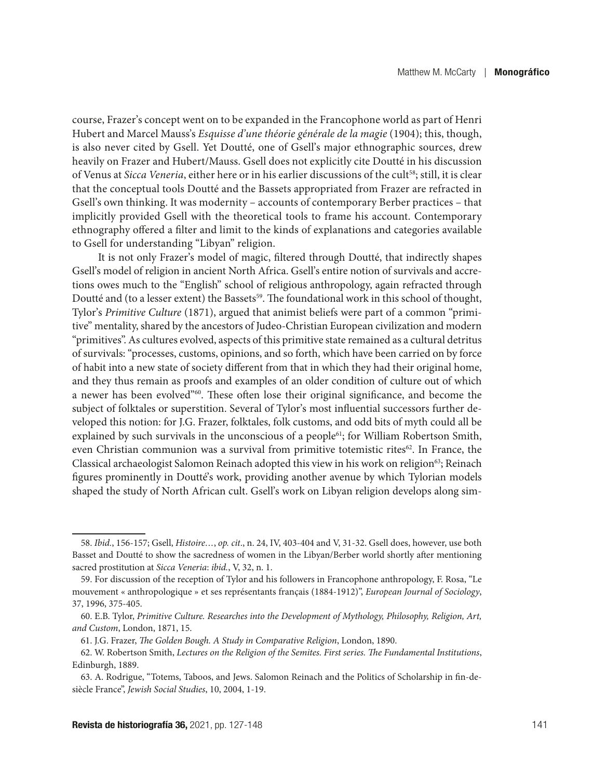course, Frazer's concept went on to be expanded in the Francophone world as part of Henri Hubert and Marcel Mauss's *Esquisse d'une théorie générale de la magie* (1904); this, though, is also never cited by Gsell. Yet Doutté, one of Gsell's major ethnographic sources, drew heavily on Frazer and Hubert/Mauss. Gsell does not explicitly cite Doutté in his discussion of Venus at *Sicca Veneria*, either here or in his earlier discussions of the cult<sup>58</sup>; still, it is clear that the conceptual tools Doutté and the Bassets appropriated from Frazer are refracted in Gsell's own thinking. It was modernity – accounts of contemporary Berber practices – that implicitly provided Gsell with the theoretical tools to frame his account. Contemporary ethnography offered a filter and limit to the kinds of explanations and categories available to Gsell for understanding "Libyan" religion.

It is not only Frazer's model of magic, filtered through Doutté, that indirectly shapes Gsell's model of religion in ancient North Africa. Gsell's entire notion of survivals and accretions owes much to the "English" school of religious anthropology, again refracted through Doutté and (to a lesser extent) the Bassets<sup>59</sup>. The foundational work in this school of thought, Tylor's *Primitive Culture* (1871), argued that animist beliefs were part of a common "primitive" mentality, shared by the ancestors of Judeo-Christian European civilization and modern "primitives". As cultures evolved, aspects of this primitive state remained as a cultural detritus of survivals: "processes, customs, opinions, and so forth, which have been carried on by force of habit into a new state of society different from that in which they had their original home, and they thus remain as proofs and examples of an older condition of culture out of which a newer has been evolved"<sup>60</sup>. These often lose their original significance, and become the subject of folktales or superstition. Several of Tylor's most influential successors further developed this notion: for J.G. Frazer, folktales, folk customs, and odd bits of myth could all be explained by such survivals in the unconscious of a people<sup>61</sup>; for William Robertson Smith, even Christian communion was a survival from primitive totemistic rites $62$ . In France, the Classical archaeologist Salomon Reinach adopted this view in his work on religion<sup>63</sup>; Reinach figures prominently in Doutté's work, providing another avenue by which Tylorian models shaped the study of North African cult. Gsell's work on Libyan religion develops along sim-

<sup>58.</sup> *Ibid.*, 156-157; Gsell, *Histoire…*, *op. cit*., n. 24, IV, 403-404 and V, 31-32. Gsell does, however, use both Basset and Doutté to show the sacredness of women in the Libyan/Berber world shortly after mentioning sacred prostitution at *Sicca Veneria*: *ibid.*, V, 32, n. 1.

<sup>59.</sup> For discussion of the reception of Tylor and his followers in Francophone anthropology, F. Rosa, "Le mouvement « anthropologique » et ses représentants français (1884-1912)", *European Journal of Sociology*, 37, 1996, 375-405.

<sup>60.</sup> E.B. Tylor, *Primitive Culture. Researches into the Development of Mythology, Philosophy, Religion, Art, and Custom*, London, 1871, 15.

<sup>61.</sup> J.G. Frazer, *The Golden Bough. A Study in Comparative Religion*, London, 1890.

<sup>62.</sup> W. Robertson Smith, *Lectures on the Religion of the Semites. First series. The Fundamental Institutions*, Edinburgh, 1889.

<sup>63.</sup> A. Rodrigue, "Totems, Taboos, and Jews. Salomon Reinach and the Politics of Scholarship in fin-desiècle France", *Jewish Social Studies*, 10, 2004, 1-19.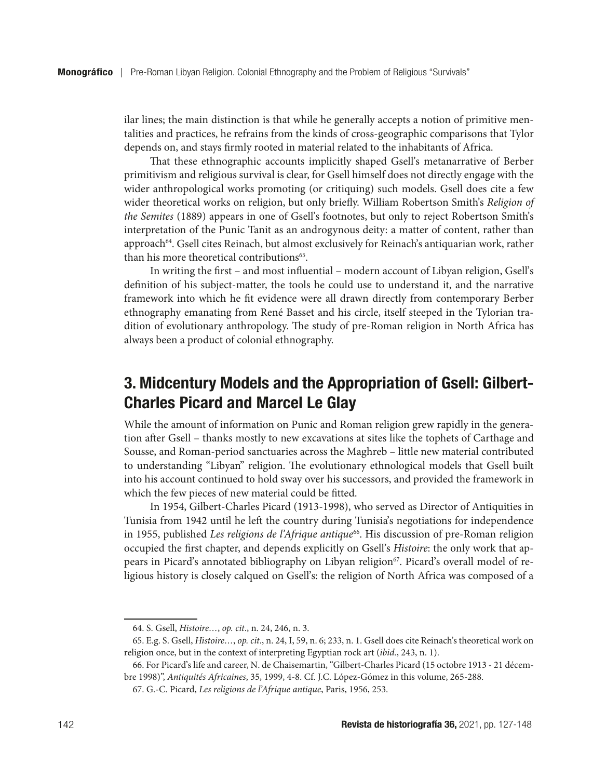ilar lines; the main distinction is that while he generally accepts a notion of primitive mentalities and practices, he refrains from the kinds of cross-geographic comparisons that Tylor depends on, and stays firmly rooted in material related to the inhabitants of Africa.

That these ethnographic accounts implicitly shaped Gsell's metanarrative of Berber primitivism and religious survival is clear, for Gsell himself does not directly engage with the wider anthropological works promoting (or critiquing) such models. Gsell does cite a few wider theoretical works on religion, but only briefly. William Robertson Smith's *Religion of the Semites* (1889) appears in one of Gsell's footnotes, but only to reject Robertson Smith's interpretation of the Punic Tanit as an androgynous deity: a matter of content, rather than approach<sup>64</sup>. Gsell cites Reinach, but almost exclusively for Reinach's antiquarian work, rather than his more theoretical contributions<sup>65</sup>.

In writing the first – and most influential – modern account of Libyan religion, Gsell's definition of his subject-matter, the tools he could use to understand it, and the narrative framework into which he fit evidence were all drawn directly from contemporary Berber ethnography emanating from René Basset and his circle, itself steeped in the Tylorian tradition of evolutionary anthropology. The study of pre-Roman religion in North Africa has always been a product of colonial ethnography.

## 3. Midcentury Models and the Appropriation of Gsell: Gilbert-Charles Picard and Marcel Le Glay

While the amount of information on Punic and Roman religion grew rapidly in the generation after Gsell – thanks mostly to new excavations at sites like the tophets of Carthage and Sousse, and Roman-period sanctuaries across the Maghreb – little new material contributed to understanding "Libyan" religion. The evolutionary ethnological models that Gsell built into his account continued to hold sway over his successors, and provided the framework in which the few pieces of new material could be fitted.

In 1954, Gilbert-Charles Picard (1913-1998), who served as Director of Antiquities in Tunisia from 1942 until he left the country during Tunisia's negotiations for independence in 1955, published *Les religions de l'Afrique antique*66. His discussion of pre-Roman religion occupied the first chapter, and depends explicitly on Gsell's *Histoire*: the only work that appears in Picard's annotated bibliography on Libyan religion<sup>67</sup>. Picard's overall model of religious history is closely calqued on Gsell's: the religion of North Africa was composed of a

<sup>64.</sup> S. Gsell, *Histoire…*, *op. cit*., n. 24, 246, n. 3.

<sup>65.</sup> E.g. S. Gsell, *Histoire…*, *op. cit*., n. 24, I, 59, n. 6; 233, n. 1. Gsell does cite Reinach's theoretical work on religion once, but in the context of interpreting Egyptian rock art (*ibid.*, 243, n. 1).

<sup>66.</sup> For Picard's life and career, N. de Chaisemartin, "Gilbert-Charles Picard (15 octobre 1913 - 21 décembre 1998)", *Antiquités Africaines*, 35, 1999, 4-8. Cf. J.C. López-Gómez in this volume, 265-288.

<sup>67.</sup> G.-C. Picard, *Les religions de l'Afrique antique*, Paris, 1956, 253.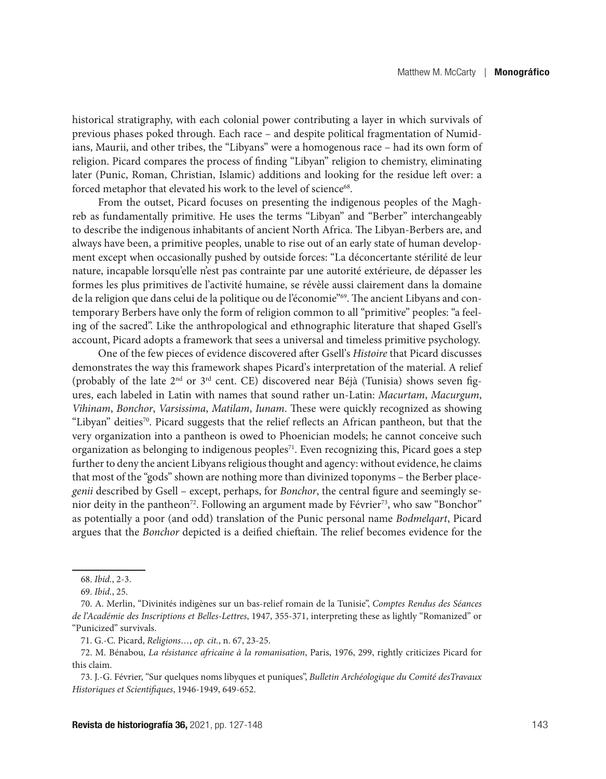historical stratigraphy, with each colonial power contributing a layer in which survivals of previous phases poked through. Each race – and despite political fragmentation of Numidians, Maurii, and other tribes, the "Libyans" were a homogenous race – had its own form of religion. Picard compares the process of finding "Libyan" religion to chemistry, eliminating later (Punic, Roman, Christian, Islamic) additions and looking for the residue left over: a forced metaphor that elevated his work to the level of science<sup>68</sup>.

From the outset, Picard focuses on presenting the indigenous peoples of the Maghreb as fundamentally primitive. He uses the terms "Libyan" and "Berber" interchangeably to describe the indigenous inhabitants of ancient North Africa. The Libyan-Berbers are, and always have been, a primitive peoples, unable to rise out of an early state of human development except when occasionally pushed by outside forces: "La déconcertante stérilité de leur nature, incapable lorsqu'elle n'est pas contrainte par une autorité extérieure, de dépasser les formes les plus primitives de l'activité humaine, se révèle aussi clairement dans la domaine de la religion que dans celui de la politique ou de l'économie"69. The ancient Libyans and contemporary Berbers have only the form of religion common to all "primitive" peoples: "a feeling of the sacred". Like the anthropological and ethnographic literature that shaped Gsell's account, Picard adopts a framework that sees a universal and timeless primitive psychology.

One of the few pieces of evidence discovered after Gsell's *Histoire* that Picard discusses demonstrates the way this framework shapes Picard's interpretation of the material. A relief (probably of the late  $2<sup>nd</sup>$  or  $3<sup>rd</sup>$  cent. CE) discovered near Béjà (Tunisia) shows seven figures, each labeled in Latin with names that sound rather un-Latin: *Macurtam*, *Macurgum*, *Vihinam*, *Bonchor*, *Varsissima*, *Matilam*, *Iunam*. These were quickly recognized as showing "Libyan" deities<sup>70</sup>. Picard suggests that the relief reflects an African pantheon, but that the very organization into a pantheon is owed to Phoenician models; he cannot conceive such organization as belonging to indigenous peoples<sup>71</sup>. Even recognizing this, Picard goes a step further to deny the ancient Libyans religious thought and agency: without evidence, he claims that most of the "gods" shown are nothing more than divinized toponyms – the Berber place*genii* described by Gsell – except, perhaps, for *Bonchor*, the central figure and seemingly senior deity in the pantheon<sup>72</sup>. Following an argument made by Février<sup>73</sup>, who saw "Bonchor" as potentially a poor (and odd) translation of the Punic personal name *Bodmelqart*, Picard argues that the *Bonchor* depicted is a deified chieftain. The relief becomes evidence for the

71. G.-C. Picard, *Religions…*, *op. cit.*, n. 67, 23-25.

<sup>68.</sup> *Ibid.*, 2-3.

<sup>69.</sup> *Ibid.*, 25.

<sup>70.</sup> A. Merlin, "Divinités indigènes sur un bas-relief romain de la Tunisie", *Comptes Rendus des Séances de l'Académie des Inscriptions et Belles-Lettres*, 1947, 355-371, interpreting these as lightly "Romanized" or "Punicized" survivals.

<sup>72.</sup> M. Bénabou, *La résistance africaine à la romanisation*, Paris, 1976, 299, rightly criticizes Picard for this claim.

<sup>73.</sup> J.-G. Février, "Sur quelques noms libyques et puniques", *Bulletin Archéologique du Comité desTravaux Historiques et Scientifiques*, 1946-1949, 649-652.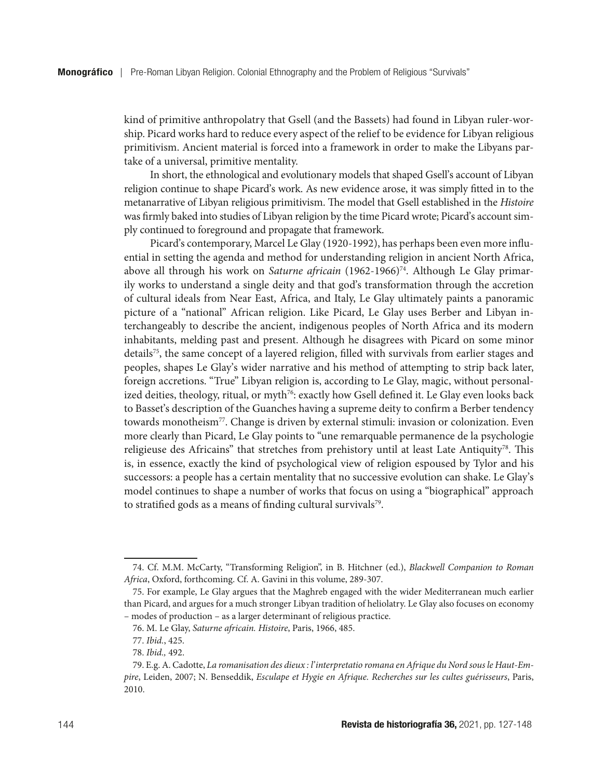kind of primitive anthropolatry that Gsell (and the Bassets) had found in Libyan ruler-worship. Picard works hard to reduce every aspect of the relief to be evidence for Libyan religious primitivism. Ancient material is forced into a framework in order to make the Libyans partake of a universal, primitive mentality.

In short, the ethnological and evolutionary models that shaped Gsell's account of Libyan religion continue to shape Picard's work. As new evidence arose, it was simply fitted in to the metanarrative of Libyan religious primitivism. The model that Gsell established in the *Histoire* was firmly baked into studies of Libyan religion by the time Picard wrote; Picard's account simply continued to foreground and propagate that framework.

Picard's contemporary, Marcel Le Glay (1920-1992), has perhaps been even more influential in setting the agenda and method for understanding religion in ancient North Africa, above all through his work on *Saturne africain* (1962-1966)<sup>74</sup>. Although Le Glay primarily works to understand a single deity and that god's transformation through the accretion of cultural ideals from Near East, Africa, and Italy, Le Glay ultimately paints a panoramic picture of a "national" African religion. Like Picard, Le Glay uses Berber and Libyan interchangeably to describe the ancient, indigenous peoples of North Africa and its modern inhabitants, melding past and present. Although he disagrees with Picard on some minor details<sup>75</sup>, the same concept of a layered religion, filled with survivals from earlier stages and peoples, shapes Le Glay's wider narrative and his method of attempting to strip back later, foreign accretions. "True" Libyan religion is, according to Le Glay, magic, without personalized deities, theology, ritual, or myth<sup>76</sup>: exactly how Gsell defined it. Le Glay even looks back to Basset's description of the Guanches having a supreme deity to confirm a Berber tendency towards monotheism77. Change is driven by external stimuli: invasion or colonization. Even more clearly than Picard, Le Glay points to "une remarquable permanence de la psychologie religieuse des Africains" that stretches from prehistory until at least Late Antiquity<sup>78</sup>. This is, in essence, exactly the kind of psychological view of religion espoused by Tylor and his successors: a people has a certain mentality that no successive evolution can shake. Le Glay's model continues to shape a number of works that focus on using a "biographical" approach to stratified gods as a means of finding cultural survivals<sup>79</sup>.

<sup>74.</sup> Cf. M.M. McCarty, "Transforming Religion", in B. Hitchner (ed.), *Blackwell Companion to Roman Africa*, Oxford, forthcoming. Cf. A. Gavini in this volume, 289-307.

<sup>75.</sup> For example, Le Glay argues that the Maghreb engaged with the wider Mediterranean much earlier than Picard, and argues for a much stronger Libyan tradition of heliolatry. Le Glay also focuses on economy – modes of production – as a larger determinant of religious practice.

<sup>76.</sup> M. Le Glay, *Saturne africain. Histoire*, Paris, 1966, 485.

<sup>77.</sup> *Ibid.*, 425.

<sup>78.</sup> *Ibid.,* 492.

<sup>79.</sup> E.g. A. Cadotte, *La romanisation des dieux : l'interpretatio romana en Afrique du Nord sous le Haut-Empire*, Leiden, 2007; N. Benseddik, *Esculape et Hygie en Afrique. Recherches sur les cultes guérisseurs*, Paris, 2010.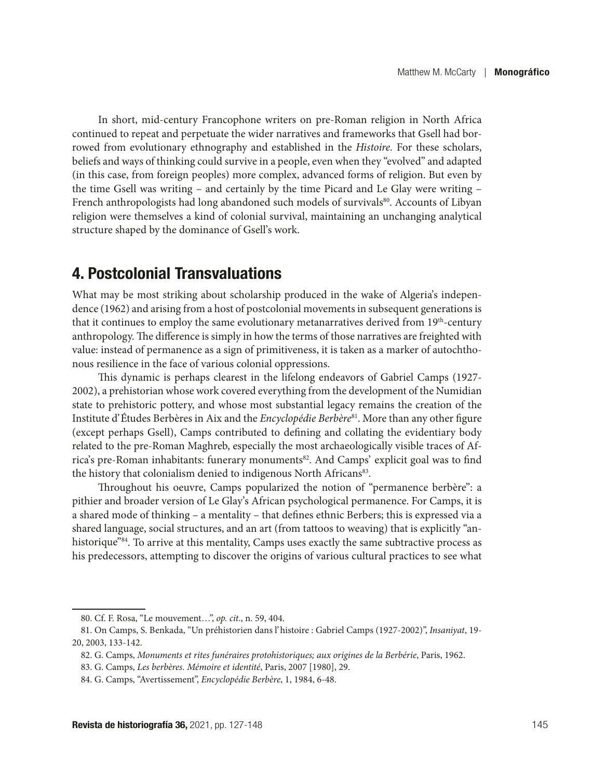In short, mid-century Francophone writers on pre-Roman religion in North Africa continued to repeat and perpetuate the wider narratives and frameworks that Gsell had borrowed from evolutionary ethnography and established in the *Histoire.* For these scholars, beliefs and ways of thinking could survive in a people, even when they "evolved" and adapted (in this case, from foreign peoples) more complex, advanced forms of religion. But even by the time Gsell was writing – and certainly by the time Picard and Le Glay were writing – French anthropologists had long abandoned such models of survivals<sup>80</sup>. Accounts of Libyan religion were themselves a kind of colonial survival, maintaining an unchanging analytical structure shaped by the dominance of Gsell's work.

#### 4. Postcolonial Transvaluations

What may be most striking about scholarship produced in the wake of Algeria's independence (1962) and arising from a host of postcolonial movements in subsequent generations is that it continues to employ the same evolutionary metanarratives derived from 19th-century anthropology. The difference is simply in how the terms of those narratives are freighted with value: instead of permanence as a sign of primitiveness, it is taken as a marker of autochthonous resilience in the face of various colonial oppressions.

This dynamic is perhaps clearest in the lifelong endeavors of Gabriel Camps (1927- 2002), a prehistorian whose work covered everything from the development of the Numidian state to prehistoric pottery, and whose most substantial legacy remains the creation of the Institute d'Études Berbères in Aix and the *Encyclopédie Berbère*81. More than any other figure (except perhaps Gsell), Camps contributed to defining and collating the evidentiary body related to the pre-Roman Maghreb, especially the most archaeologically visible traces of Africa's pre-Roman inhabitants: funerary monuments $^{82}$ . And Camps' explicit goal was to find the history that colonialism denied to indigenous North Africans<sup>83</sup>.

Throughout his oeuvre, Camps popularized the notion of "permanence berbère": a pithier and broader version of Le Glay's African psychological permanence. For Camps, it is a shared mode of thinking – a mentality – that defines ethnic Berbers; this is expressed via a shared language, social structures, and an art (from tattoos to weaving) that is explicitly "anhistorique"<sup>84</sup>. To arrive at this mentality, Camps uses exactly the same subtractive process as his predecessors, attempting to discover the origins of various cultural practices to see what

<sup>80.</sup> Cf. F. Rosa, "Le mouvement…", *op. cit*., n. 59, 404.

<sup>81.</sup> On Camps, S. Benkada, "Un préhistorien dans l'histoire : Gabriel Camps (1927-2002)", *Insaniyat*, 19- 20, 2003, 133-142.

<sup>82.</sup> G. Camps, *Monuments et rites funéraires protohistoriques; aux origines de la Berbérie*, Paris, 1962.

<sup>83.</sup> G. Camps, *Les berbères. Mémoire et identité*, Paris, 2007 [1980], 29.

<sup>84.</sup> G. Camps, "Avertissement", *Encyclopédie Berbère*, 1, 1984, 6-48.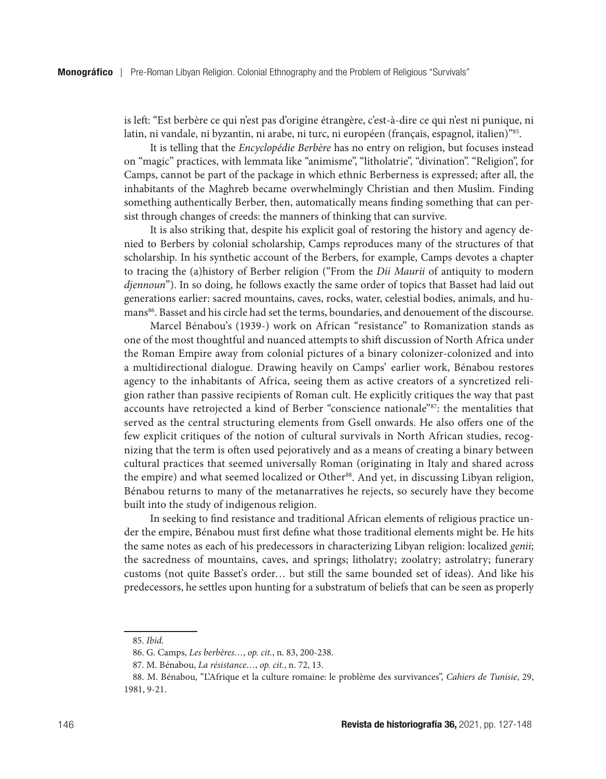is left: "Est berbère ce qui n'est pas d'origine étrangère, c'est-à-dire ce qui n'est ni punique, ni latin, ni vandale, ni byzantin, ni arabe, ni turc, ni européen (français, espagnol, italien)"85.

It is telling that the *Encyclopédie Berbère* has no entry on religion, but focuses instead on "magic" practices, with lemmata like "animisme", "litholatrie", "divination". "Religion", for Camps, cannot be part of the package in which ethnic Berberness is expressed; after all, the inhabitants of the Maghreb became overwhelmingly Christian and then Muslim. Finding something authentically Berber, then, automatically means finding something that can persist through changes of creeds: the manners of thinking that can survive.

It is also striking that, despite his explicit goal of restoring the history and agency denied to Berbers by colonial scholarship, Camps reproduces many of the structures of that scholarship. In his synthetic account of the Berbers, for example, Camps devotes a chapter to tracing the (a)history of Berber religion ("From the *Dii Maurii* of antiquity to modern *djennoun*"). In so doing, he follows exactly the same order of topics that Basset had laid out generations earlier: sacred mountains, caves, rocks, water, celestial bodies, animals, and humans<sup>86</sup>. Basset and his circle had set the terms, boundaries, and denouement of the discourse.

Marcel Bénabou's (1939-) work on African "resistance" to Romanization stands as one of the most thoughtful and nuanced attempts to shift discussion of North Africa under the Roman Empire away from colonial pictures of a binary colonizer-colonized and into a multidirectional dialogue. Drawing heavily on Camps' earlier work, Bénabou restores agency to the inhabitants of Africa, seeing them as active creators of a syncretized religion rather than passive recipients of Roman cult. He explicitly critiques the way that past accounts have retrojected a kind of Berber "conscience nationale"87: the mentalities that served as the central structuring elements from Gsell onwards. He also offers one of the few explicit critiques of the notion of cultural survivals in North African studies, recognizing that the term is often used pejoratively and as a means of creating a binary between cultural practices that seemed universally Roman (originating in Italy and shared across the empire) and what seemed localized or Other<sup>88</sup>. And yet, in discussing Libyan religion, Bénabou returns to many of the metanarratives he rejects, so securely have they become built into the study of indigenous religion.

In seeking to find resistance and traditional African elements of religious practice under the empire, Bénabou must first define what those traditional elements might be. He hits the same notes as each of his predecessors in characterizing Libyan religion: localized *genii*; the sacredness of mountains, caves, and springs; litholatry; zoolatry; astrolatry; funerary customs (not quite Basset's order… but still the same bounded set of ideas). And like his predecessors, he settles upon hunting for a substratum of beliefs that can be seen as properly

<sup>85.</sup> *Ibid.*

<sup>86.</sup> G. Camps, *Les berbères…*, *op. cit.*, n. 83, 200-238.

<sup>87.</sup> M. Bénabou, *La résistance…*, *op. cit.*, n. 72, 13.

<sup>88.</sup> M. Bénabou, "L'Afrique et la culture romaine: le problème des survivances", *Cahiers de Tunisie*, 29, 1981, 9-21.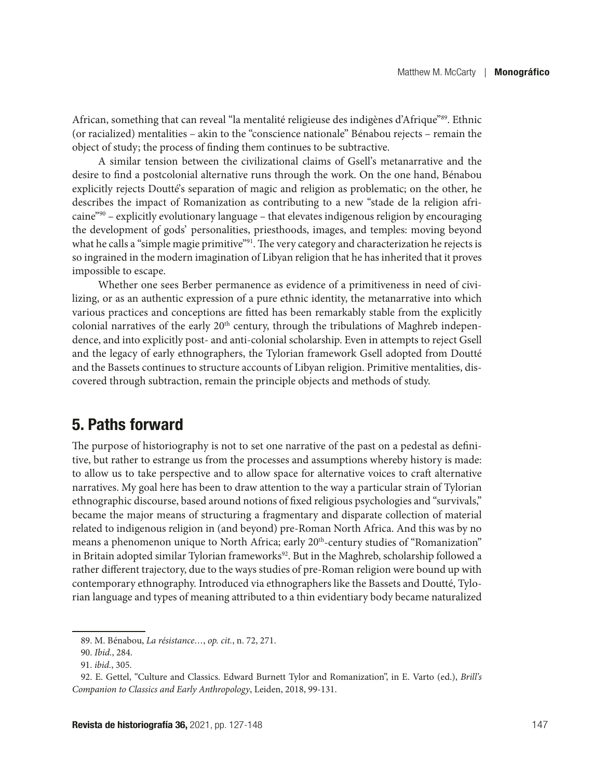African, something that can reveal "la mentalité religieuse des indigènes d'Afrique"89. Ethnic (or racialized) mentalities – akin to the "conscience nationale" Bénabou rejects – remain the object of study; the process of finding them continues to be subtractive.

A similar tension between the civilizational claims of Gsell's metanarrative and the desire to find a postcolonial alternative runs through the work. On the one hand, Bénabou explicitly rejects Doutté's separation of magic and religion as problematic; on the other, he describes the impact of Romanization as contributing to a new "stade de la religion africaine $e^{990}$  – explicitly evolutionary language – that elevates indigenous religion by encouraging the development of gods' personalities, priesthoods, images, and temples: moving beyond what he calls a "simple magie primitive"<sup>91</sup>. The very category and characterization he rejects is so ingrained in the modern imagination of Libyan religion that he has inherited that it proves impossible to escape.

Whether one sees Berber permanence as evidence of a primitiveness in need of civilizing, or as an authentic expression of a pure ethnic identity, the metanarrative into which various practices and conceptions are fitted has been remarkably stable from the explicitly colonial narratives of the early  $20<sup>th</sup>$  century, through the tribulations of Maghreb independence, and into explicitly post- and anti-colonial scholarship. Even in attempts to reject Gsell and the legacy of early ethnographers, the Tylorian framework Gsell adopted from Doutté and the Bassets continues to structure accounts of Libyan religion. Primitive mentalities, discovered through subtraction, remain the principle objects and methods of study.

#### 5. Paths forward

The purpose of historiography is not to set one narrative of the past on a pedestal as definitive, but rather to estrange us from the processes and assumptions whereby history is made: to allow us to take perspective and to allow space for alternative voices to craft alternative narratives. My goal here has been to draw attention to the way a particular strain of Tylorian ethnographic discourse, based around notions of fixed religious psychologies and "survivals," became the major means of structuring a fragmentary and disparate collection of material related to indigenous religion in (and beyond) pre-Roman North Africa. And this was by no means a phenomenon unique to North Africa; early 20<sup>th</sup>-century studies of "Romanization" in Britain adopted similar Tylorian frameworks<sup>92</sup>. But in the Maghreb, scholarship followed a rather different trajectory, due to the ways studies of pre-Roman religion were bound up with contemporary ethnography. Introduced via ethnographers like the Bassets and Doutté, Tylorian language and types of meaning attributed to a thin evidentiary body became naturalized

<sup>89.</sup> M. Bénabou, *La résistance…*, *op. cit.*, n. 72, 271.

<sup>90.</sup> *Ibid.*, 284.

<sup>91.</sup> *ibid.*, 305.

<sup>92.</sup> E. Gettel, "Culture and Classics. Edward Burnett Tylor and Romanization", in E. Varto (ed.), *Brill's Companion to Classics and Early Anthropology*, Leiden, 2018, 99-131.